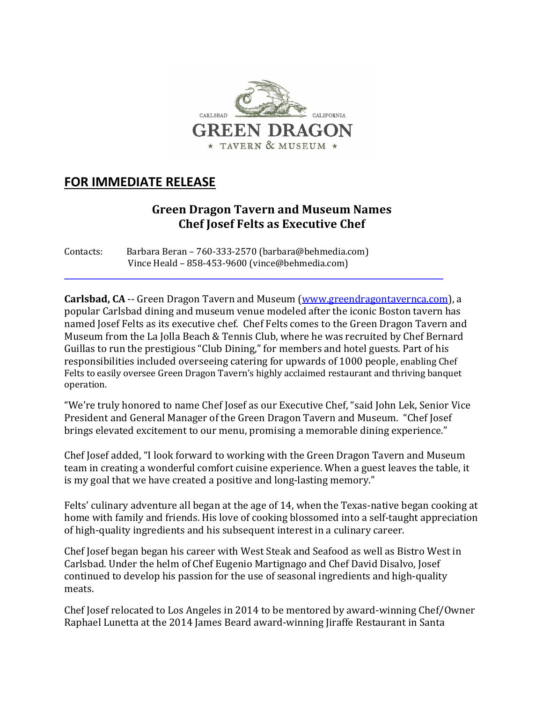

## **FOR IMMEDIATE RELEASE**

## **Green Dragon Tavern and Museum Names Chef Josef Felts as Executive Chef**

Contacts: Barbara Beran – 760-333-2570 (barbara@behmedia.com) Vince Heald - 858-453-9600 (vince@behmedia.com)

**Carlsbad, CA** -- Green Dragon Tavern and Museum (www.greendragontavernca.com), a popular Carlsbad dining and museum venue modeled after the iconic Boston tavern has named Josef Felts as its executive chef. Chef Felts comes to the Green Dragon Tavern and Museum from the La Jolla Beach & Tennis Club, where he was recruited by Chef Bernard Guillas to run the prestigious "Club Dining," for members and hotel guests. Part of his responsibilities included overseeing catering for upwards of 1000 people, enabling Chef Felts to easily oversee Green Dragon Tavern's highly acclaimed restaurant and thriving banquet operation.

\_\_\_\_\_\_\_\_\_\_\_\_\_\_\_\_\_\_\_\_\_\_\_\_\_\_\_\_\_\_\_\_\_\_\_\_\_\_\_\_\_\_\_\_\_\_\_\_\_\_\_\_\_\_\_\_\_\_\_\_\_\_\_\_\_\_\_\_\_\_\_\_\_\_\_\_\_\_

"We're truly honored to name Chef Josef as our Executive Chef, "said John Lek, Senior Vice President and General Manager of the Green Dragon Tavern and Museum. "Chef Josef" brings elevated excitement to our menu, promising a memorable dining experience."

Chef Josef added, "I look forward to working with the Green Dragon Tavern and Museum team in creating a wonderful comfort cuisine experience. When a guest leaves the table, it is my goal that we have created a positive and long-lasting memory."

Felts' culinary adventure all began at the age of 14, when the Texas-native began cooking at home with family and friends. His love of cooking blossomed into a self-taught appreciation of high-quality ingredients and his subsequent interest in a culinary career.

Chef Josef began began his career with West Steak and Seafood as well as Bistro West in Carlsbad. Under the helm of Chef Eugenio Martignago and Chef David Disalvo, Josef continued to develop his passion for the use of seasonal ingredients and high-quality meats.

Chef Josef relocated to Los Angeles in 2014 to be mentored by award-winning Chef/Owner Raphael Lunetta at the 2014 James Beard award-winning Jiraffe Restaurant in Santa